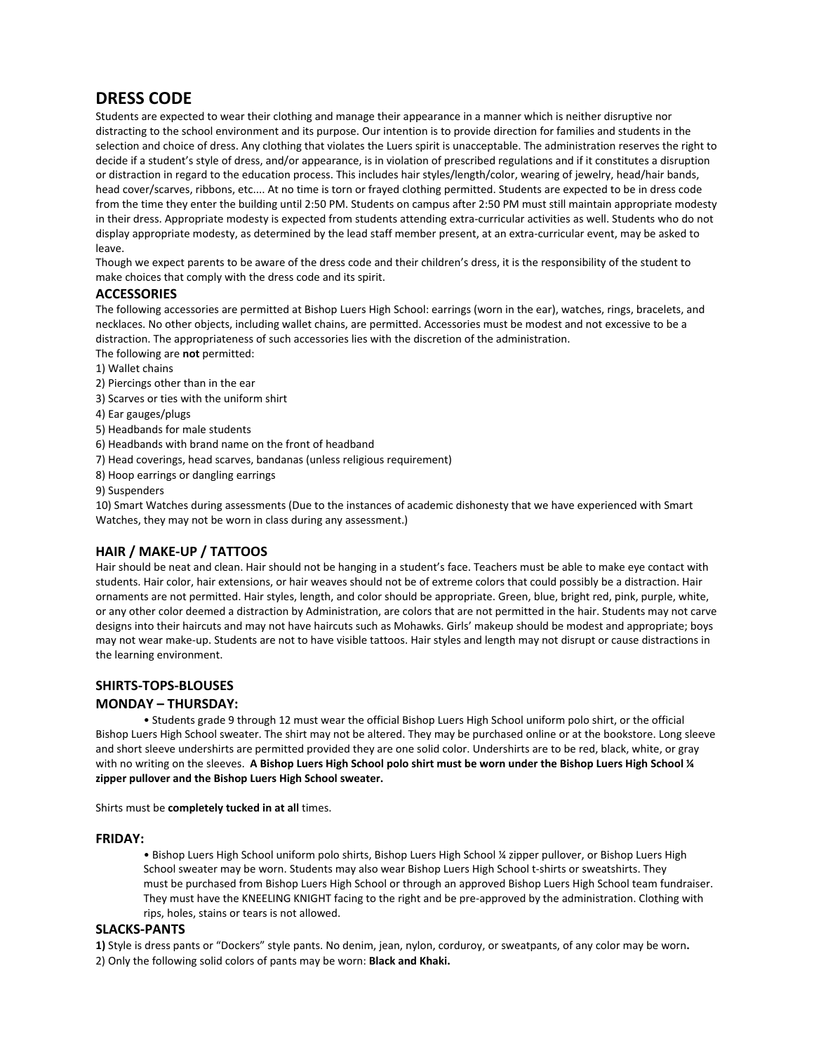# **DRESS CODE**

Students are expected to wear their clothing and manage their appearance in a manner which is neither disruptive nor distracting to the school environment and its purpose. Our intention is to provide direction for families and students in the selection and choice of dress. Any clothing that violates the Luers spirit is unacceptable. The administration reserves the right to decide if a student's style of dress, and/or appearance, is in violation of prescribed regulations and if it constitutes a disruption or distraction in regard to the education process. This includes hair styles/length/color, wearing of jewelry, head/hair bands, head cover/scarves, ribbons, etc.... At no time is torn or frayed clothing permitted. Students are expected to be in dress code from the time they enter the building until 2:50 PM. Students on campus after 2:50 PM must still maintain appropriate modesty in their dress. Appropriate modesty is expected from students attending extra-curricular activities as well. Students who do not display appropriate modesty, as determined by the lead staff member present, at an extra-curricular event, may be asked to leave.

Though we expect parents to be aware of the dress code and their children's dress, it is the responsibility of the student to make choices that comply with the dress code and its spirit.

## **ACCESSORIES**

The following accessories are permitted at Bishop Luers High School: earrings (worn in the ear), watches, rings, bracelets, and necklaces. No other objects, including wallet chains, are permitted. Accessories must be modest and not excessive to be a distraction. The appropriateness of such accessories lies with the discretion of the administration.

- The following are **not** permitted:
- 1) Wallet chains
- 2) Piercings other than in the ear
- 3) Scarves or ties with the uniform shirt
- 4) Ear gauges/plugs
- 5) Headbands for male students
- 6) Headbands with brand name on the front of headband
- 7) Head coverings, head scarves, bandanas (unless religious requirement)
- 8) Hoop earrings or dangling earrings

9) Suspenders

10) Smart Watches during assessments (Due to the instances of academic dishonesty that we have experienced with Smart Watches, they may not be worn in class during any assessment.)

## **HAIR / MAKE‐UP / TATTOOS**

Hair should be neat and clean. Hair should not be hanging in a student's face. Teachers must be able to make eye contact with students. Hair color, hair extensions, or hair weaves should not be of extreme colors that could possibly be a distraction. Hair ornaments are not permitted. Hair styles, length, and color should be appropriate. Green, blue, bright red, pink, purple, white, or any other color deemed a distraction by Administration, are colors that are not permitted in the hair. Students may not carve designs into their haircuts and may not have haircuts such as Mohawks. Girls' makeup should be modest and appropriate; boys may not wear make-up. Students are not to have visible tattoos. Hair styles and length may not disrupt or cause distractions in the learning environment.

### **SHIRTS‐TOPS‐BLOUSES**

### **MONDAY – THURSDAY:**

• Students grade 9 through 12 must wear the official Bishop Luers High School uniform polo shirt, or the official Bishop Luers High School sweater. The shirt may not be altered. They may be purchased online or at the bookstore. Long sleeve and short sleeve undershirts are permitted provided they are one solid color. Undershirts are to be red, black, white, or gray with no writing on the sleeves. **A Bishop Luers High School polo shirt must be worn under the Bishop Luers High School ¼ zipper pullover and the Bishop Luers High School sweater.** 

Shirts must be **completely tucked in at all** times.

#### **FRIDAY:**

• Bishop Luers High School uniform polo shirts, Bishop Luers High School ¼ zipper pullover, or Bishop Luers High School sweater may be worn. Students may also wear Bishop Luers High School t-shirts or sweatshirts. They must be purchased from Bishop Luers High School or through an approved Bishop Luers High School team fundraiser. They must have the KNEELING KNIGHT facing to the right and be pre‐approved by the administration. Clothing with rips, holes, stains or tears is not allowed.

### **SLACKS‐PANTS**

**1)** Style is dress pants or "Dockers" style pants. No denim, jean, nylon, corduroy, or sweatpants, of any color may be worn**.**  2) Only the following solid colors of pants may be worn: **Black and Khaki.**